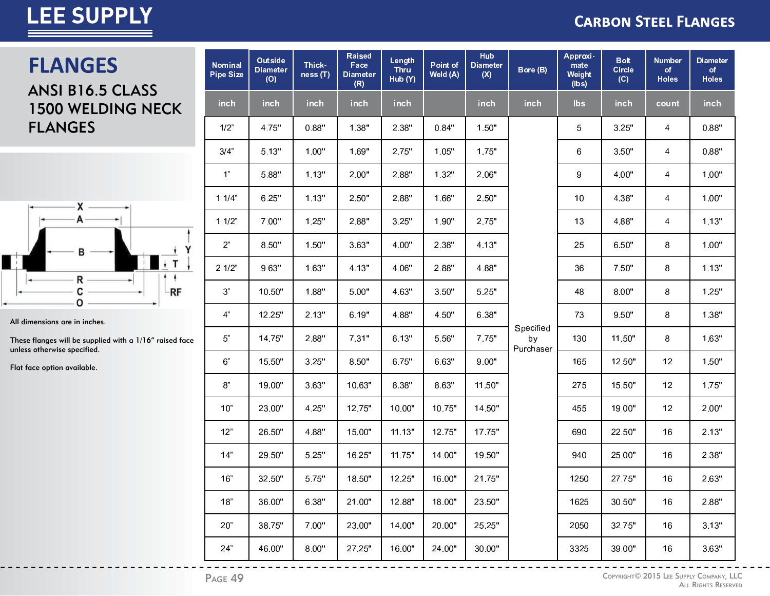#### **CARBON STEEL FLANGES**

### **FLANGES**

ANSI B16.5 CLASS 1500 WELDING NECK FLANGES



All dimensions are in inches.

These flanges will be supplied with a 1/16" raised face unless otherwise specified.

Flat face option available.

| <b>Nominal</b><br><b>Pipe Size</b> | Outside<br><b>Diameter</b><br>(O) | Thick-<br>ness(T) | <b>Raised</b><br>Face<br><b>Diameter</b><br>(R) | Length<br>Thru<br>Hub (Y) | Point of<br>Weld (A) | Hub<br><b>Diameter</b><br>(X) | Bore (B)                     | Approxi-<br>mate<br>Weight<br>(lbs) | <b>Bolt</b><br><b>Circle</b><br>(C) | <b>Number</b><br>of<br><b>Holes</b> | <b>Diameter</b><br>of<br><b>Holes</b> |
|------------------------------------|-----------------------------------|-------------------|-------------------------------------------------|---------------------------|----------------------|-------------------------------|------------------------------|-------------------------------------|-------------------------------------|-------------------------------------|---------------------------------------|
| inch                               | inch                              | inch              | inch                                            | inch                      |                      | inch                          | inch                         | lbs                                 | inch                                | count                               | inch                                  |
| 1/2"                               | 4.75"                             | 0.88"             | 1.38"                                           | 2.38"                     | 0.84"                | 1.50"                         |                              | 5                                   | 3.25"                               | 4                                   | 0.88"                                 |
| 3/4"                               | 5.13"                             | 1.00"             | 1.69"                                           | 2.75"                     | 1.05"                | 1.75"                         |                              | 6                                   | 3.50"                               | 4                                   | 0.88"                                 |
| 1 <sup>n</sup>                     | 5.88"                             | 1.13"             | 2.00"                                           | 2.88"                     | 1.32"                | 2.06"                         |                              | 9                                   | 4.00"                               | 4                                   | 1.00"                                 |
| 11/4"                              | 6.25"                             | 1.13"             | 2.50"                                           | 2.88"                     | 1.66"                | 2.50"                         |                              | 10                                  | 4.38"                               | 4                                   | 1.00"                                 |
| 11/2"                              | 7.00"                             | 1.25"             | 2.88"                                           | 3.25"                     | 1.90"                | 2.75"                         |                              | 13                                  | 4.88"                               | 4                                   | 1.13"                                 |
| 2 <sup>n</sup>                     | 8.50"                             | 1.50"             | 3.63"                                           | 4.00"                     | 2.38"                | 4.13"                         |                              | 25                                  | 6.50"                               | 8                                   | 1.00"                                 |
| 21/2"                              | 9.63"                             | 1.63"             | 4.13"                                           | 4.06"                     | 2.88"                | 4.88"                         |                              | 36                                  | 7.50"                               | 8                                   | 1.13"                                 |
| $3"$                               | 10.50"                            | 1.88"             | 5.00"                                           | 4.63"                     | 3.50"                | 5.25"                         |                              | 48                                  | 8.00"                               | 8                                   | 1.25"                                 |
| 4"                                 | 12.25"                            | 2.13"             | 6.19"                                           | 4.88"                     | 4.50"                | 6.38"                         |                              | 73                                  | 9.50"                               | 8                                   | 1.38"                                 |
| $5"$                               | 14.75"                            | 2.88"             | 7.31"                                           | 6.13"                     | 5.56"                | 7.75"                         | Specified<br>by<br>Purchaser | 130                                 | 11.50"                              | 8                                   | 1.63"                                 |
| 6"                                 | 15.50"                            | 3.25"             | 8.50"                                           | 6.75"                     | 6.63"                | 9.00"                         |                              | 165                                 | 12.50"                              | 12                                  | 1.50"                                 |
| $8"$                               | 19.00"                            | 3.63"             | 10.63"                                          | 8.38"                     | 8.63"                | 11.50"                        |                              | 275                                 | 15.50"                              | 12                                  | 1.75"                                 |
| 10"                                | 23.00"                            | 4.25"             | 12.75"                                          | 10.00"                    | 10.75"               | 14.50"                        |                              | 455                                 | 19.00"                              | 12                                  | 2.00"                                 |
| 12"                                | 26.50"                            | 4.88"             | 15.00"                                          | 11.13"                    | 12.75"               | 17.75"                        |                              | 690                                 | 22.50"                              | 16                                  | 2.13"                                 |
| 14"                                | 29.50"                            | 5.25"             | 16.25"                                          | 11.75"                    | 14.00"               | 19.50"                        |                              | 940                                 | 25.00"                              | 16                                  | 2.38"                                 |
| 16"                                | 32.50"                            | 5.75"             | 18.50"                                          | 12.25"                    | 16.00"               | 21.75"                        |                              | 1250                                | 27.75"                              | 16                                  | 2.63"                                 |
| 18"                                | 36.00"                            | 6.38"             | 21.00"                                          | 12.88"                    | 18.00"               | 23.50"                        |                              | 1625                                | 30.50"                              | 16                                  | 2.88"                                 |
| 20"                                | 38.75"                            | 7.00"             | 23.00"                                          | 14.00"                    | 20.00"               | 25.25"                        |                              | 2050                                | 32.75"                              | 16                                  | 3.13"                                 |
| 24"                                | 46.00"                            | 8.00"             | 27.25"                                          | 16.00"                    | 24.00"               | 30.00"                        |                              | 3325                                | 39.00"                              | 16                                  | 3.63"                                 |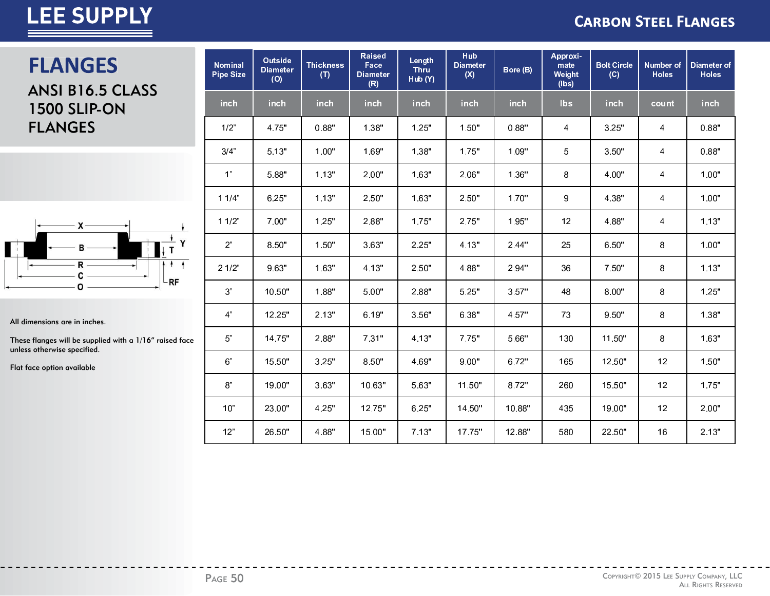#### **CARBON STEEL FLANGES**

### **FLANGES**

ANSI B16.5 CLASS **1500 SLIP-ON FLANGES** 



All dimensions are in inches.

These flanges will be supplied with a 1/16" raised face unless otherwise specified.

Flat face option available

| <b>Nominal</b><br><b>Pipe Size</b> | Outside<br><b>Diameter</b><br>(O) | <b>Thickness</b><br>(T) | <b>Raised</b><br>Face<br><b>Diameter</b><br>(R) | Length<br><b>Thru</b><br>Hub (Y) | Hub<br><b>Diameter</b><br>(X) | Bore (B) | Approxi-<br>mate<br>Weight<br>(lbs) | <b>Bolt Circle</b><br>(C) | Number of<br><b>Holes</b> | Diameter of<br><b>Holes</b> |
|------------------------------------|-----------------------------------|-------------------------|-------------------------------------------------|----------------------------------|-------------------------------|----------|-------------------------------------|---------------------------|---------------------------|-----------------------------|
| inch                               | inch                              | inch                    | inch                                            | inch                             | inch                          | inch     | <b>lbs</b>                          | inch                      | count                     | inch                        |
| 1/2"                               | 4.75"                             | 0.88"                   | 1.38"                                           | 1.25"                            | 1.50"                         | 0.88"    | 4                                   | 3.25"                     | 4                         | 0.88"                       |
| 3/4"                               | 5.13"                             | 1.00"                   | 1.69"                                           | 1.38"                            | 1.75"                         | 1.09"    | 5                                   | 3.50"                     | 4                         | 0.88"                       |
| 1 <sup>n</sup>                     | 5.88"                             | 1.13"                   | 2.00"                                           | 1.63"                            | 2.06"                         | 1.36"    | 8                                   | 4.00"                     | 4                         | 1.00"                       |
| 11/4"                              | 6.25"                             | 1.13"                   | 2.50"                                           | 1.63"                            | 2.50"                         | 1.70"    | $\boldsymbol{9}$                    | 4.38"                     | 4                         | 1.00"                       |
| 11/2"                              | 7.00"                             | 1.25"                   | 2.88"                                           | 1.75"                            | 2.75"                         | 1.95"    | 12                                  | 4.88"                     | 4                         | 1.13"                       |
| 2 <sup>n</sup>                     | 8.50"                             | 1.50"                   | 3.63"                                           | 2.25"                            | 4.13"                         | 2.44"    | 25                                  | 6.50"                     | 8                         | 1.00"                       |
| 21/2"                              | 9.63"                             | 1.63"                   | 4.13"                                           | 2.50"                            | 4.88"                         | 2.94"    | 36                                  | 7.50"                     | 8                         | 1.13"                       |
| 3 <sup>n</sup>                     | 10.50"                            | 1.88"                   | 5.00"                                           | 2.88"                            | 5.25"                         | 3.57"    | 48                                  | 8.00"                     | 8                         | 1.25"                       |
| 4 <sup>n</sup>                     | 12.25"                            | 2.13"                   | 6.19"                                           | 3.56"                            | 6.38"                         | 4.57"    | 73                                  | 9.50"                     | 8                         | 1.38"                       |
| $5"$                               | 14.75"                            | 2.88"                   | 7.31"                                           | 4.13"                            | 7.75"                         | 5.66"    | 130                                 | 11.50"                    | 8                         | 1.63"                       |
| 6"                                 | 15.50"                            | 3.25"                   | 8.50"                                           | 4.69"                            | 9.00"                         | 6.72"    | 165                                 | 12.50"                    | 12                        | 1.50"                       |
| $\mbox{8}^{\circ}$                 | 19.00"                            | 3.63"                   | 10.63"                                          | 5.63"                            | 11.50"                        | 8.72"    | 260                                 | 15.50"                    | 12                        | 1.75"                       |
| 10"                                | 23.00"                            | 4.25"                   | 12.75"                                          | 6.25"                            | 14.50"                        | 10.88"   | 435                                 | 19.00"                    | 12                        | 2.00"                       |
| 12"                                | 26.50"                            | 4.88"                   | 15.00"                                          | 7.13"                            | 17.75"                        | 12.88"   | 580                                 | 22.50"                    | 16                        | 2.13"                       |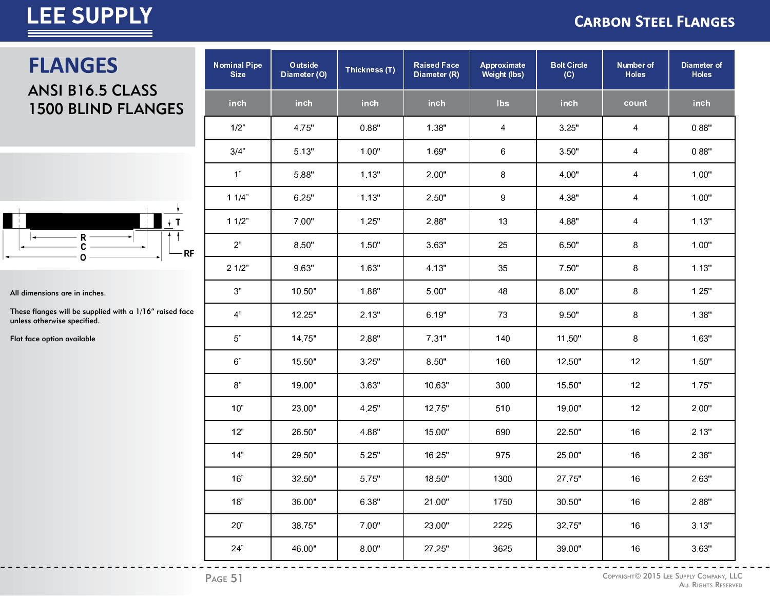#### **CARBON STEEL FLANGES**

### **FLANGES** ANSI B16.5 CLASS 1500 BLIND FLANGES



All dimensions are in inches.

These flanges will be supplied with a 1/16" raised face unless otherwise specified.

Flat face option available

| <b>Nominal Pipe</b><br><b>Size</b> | Outside<br>Diameter (O) | Thickness (T) | <b>Raised Face</b><br>Diameter (R) | Approximate<br><b>Weight (lbs)</b> | <b>Bolt Circle</b><br>(C) | Number of<br><b>Holes</b> | Diameter of<br><b>Holes</b> |
|------------------------------------|-------------------------|---------------|------------------------------------|------------------------------------|---------------------------|---------------------------|-----------------------------|
| inch                               | <b>inch</b>             | inch          | inch                               | <b>lbs</b>                         | <b>inch</b>               | count                     | inch                        |
| $1/2$ "                            | 4.75"                   | 0.88"         | 1.38"                              | 4                                  | 3.25"                     | 4                         | 0.88"                       |
| 3/4"                               | 5.13"                   | 1.00"         | 1.69"                              | 6                                  | 3.50"                     | 4                         | 0.88"                       |
| 1"                                 | 5.88"                   | 1.13"         | 2.00"                              | 8                                  | 4.00"                     | 4                         | 1.00"                       |
| 11/4"                              | 6.25"                   | 1.13"         | 2.50"                              | $\boldsymbol{9}$                   | 4.38"                     | 4                         | 1.00"                       |
| 11/2"                              | 7.00"                   | 1.25"         | 2.88"                              | 13                                 | 4.88"                     | 4                         | 1.13"                       |
| 2 <sup>n</sup>                     | 8.50"                   | 1.50"         | 3.63"                              | 25                                 | 6.50"                     | 8                         | 1.00"                       |
| 21/2"                              | 9.63"                   | 1.63"         | 4.13"                              | 35                                 | 7.50"                     | 8                         | 1.13"                       |
| $3"$                               | 10.50"                  | 1.88"         | 5.00"                              | 48                                 | 8.00"                     | 8                         | 1.25"                       |
| 4"                                 | 12.25"                  | 2.13"         | 6.19"                              | 73                                 | 9.50"                     | 8                         | 1.38"                       |
| $5"$                               | 14.75"                  | 2.88"         | 7.31"                              | 140                                | 11.50"                    | 8                         | 1.63"                       |
| $6"$                               | 15.50"                  | 3.25"         | 8.50"                              | 160                                | 12.50"                    | 12                        | 1.50"                       |
| $8^{\circ}$                        | 19.00"                  | 3.63"         | 10.63"                             | 300                                | 15.50"                    | 12                        | 1.75"                       |
| 10"                                | 23.00"                  | 4.25"         | 12.75"                             | 510                                | 19.00"                    | 12                        | 2.00"                       |
| 12"                                | 26.50"                  | 4.88"         | 15.00"                             | 690                                | 22.50"                    | 16                        | 2.13"                       |
| 14"                                | 29.50"                  | 5.25"         | 16.25"                             | 975                                | 25.00"                    | 16                        | 2.38"                       |
| 16"                                | 32.50"                  | 5.75"         | 18.50"                             | 1300                               | 27.75"                    | 16                        | 2.63"                       |
| 18"                                | 36.00"                  | 6.38"         | 21.00"                             | 1750                               | 30.50"                    | 16                        | 2.88"                       |
| 20"                                | 38.75"                  | 7.00"         | 23.00"                             | 2225                               | 32.75"                    | 16                        | 3.13"                       |
| 24"                                | 46.00"                  | 8.00"         | 27.25"                             | 3625                               | 39.00"                    | 16                        | 3.63"                       |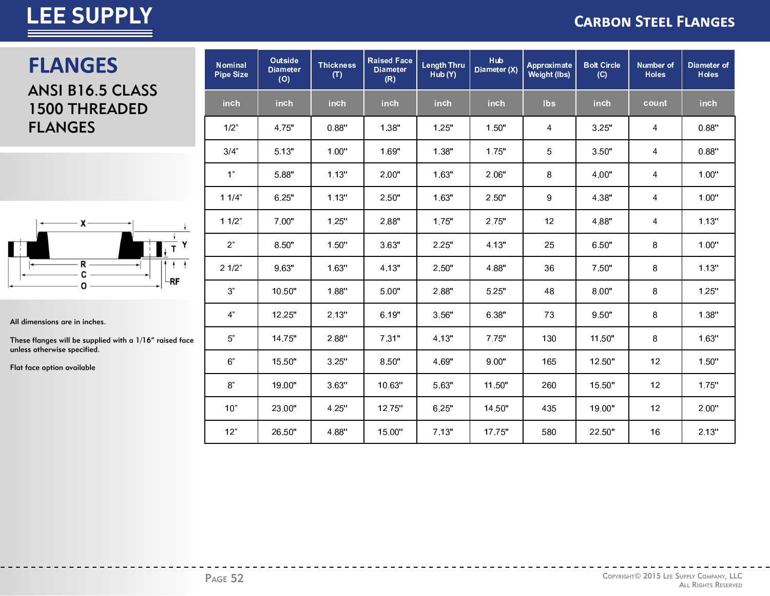#### **CARBON STEEL FLANGES**

### **FLANGES**

ANSI B16.5 CLASS 1500 THREADED FLANGES



All dimensions are in inches.

These flanges will be supplied with a 1/16" raised face unless otherwise specified.

Flat face option available

| <b>Nominal</b><br><b>Pipe Size</b> | <b>Outside</b><br><b>Diameter</b><br>(O) | <b>Thickness</b><br>(T) | <b>Raised Face</b><br><b>Diameter</b><br>(R) | <b>Length Thru</b><br>Hub (Y) | <b>Hub</b><br>Diameter (X) | Approximate<br><b>Weight (lbs)</b> | <b>Bolt Circle</b><br>(C) | <b>Number of</b><br><b>Holes</b> | <b>Diameter of</b><br><b>Holes</b> |
|------------------------------------|------------------------------------------|-------------------------|----------------------------------------------|-------------------------------|----------------------------|------------------------------------|---------------------------|----------------------------------|------------------------------------|
| inch                               | inch                                     | inch                    | inch                                         | inch                          | inch                       | <b>lbs</b>                         | inch                      | count                            | inch                               |
| 1/2"                               | 4.75"                                    | 0.88"                   | 1.38"                                        | 1.25"                         | 1.50"                      | 4                                  | 3.25"                     | 4                                | 0.88"                              |
| 3/4"                               | 5.13"                                    | 1.00"                   | 1.69"                                        | 1.38"                         | 1.75"                      | 5                                  | 3.50"                     | 4                                | 0.88"                              |
| 1"                                 | 5.88"                                    | 1.13"                   | 2.00"                                        | 1.63"                         | 2.06"                      | 8                                  | 4.00"                     | 4                                | 1.00"                              |
| 11/4"                              | 6.25"                                    | 1.13"                   | 2.50"                                        | 1.63"                         | 2.50"                      | 9                                  | 4.38"                     | 4                                | 1.00"                              |
| 11/2"                              | 7.00"                                    | 1.25"                   | 2.88"                                        | 1.75"                         | 2.75"                      | 12                                 | 4.88"                     | 4                                | 1.13"                              |
| 2"                                 | 8.50"                                    | 1.50"                   | 3.63"                                        | 2.25"                         | 4.13"                      | 25                                 | 6.50"                     | 8                                | 1.00"                              |
| 21/2"                              | 9.63"                                    | 1.63"                   | 4.13"                                        | 2.50"                         | 4.88"                      | 36                                 | 7.50"                     | 8                                | 1.13"                              |
| 3"                                 | 10.50"                                   | 1.88"                   | 5.00"                                        | 2.88"                         | 5.25"                      | 48                                 | 8.00"                     | 8                                | 1.25"                              |
| 4"                                 | 12.25"                                   | 2.13"                   | 6.19"                                        | 3.56"                         | 6.38"                      | 73                                 | 9.50"                     | 8                                | 1.38"                              |
| 5"                                 | 14.75"                                   | 2.88"                   | 7.31"                                        | 4.13"                         | 7.75"                      | 130                                | 11.50"                    | 8                                | 1.63"                              |
| 6"                                 | 15.50"                                   | 3.25"                   | 8.50"                                        | 4.69"                         | 9.00"                      | 165                                | 12.50"                    | 12                               | 1.50"                              |
| 8"                                 | 19.00"                                   | 3.63"                   | 10.63"                                       | 5.63"                         | 11.50"                     | 260                                | 15.50"                    | 12                               | 1.75"                              |
| 10"                                | 23.00"                                   | 4.25"                   | 12.75"                                       | 6.25"                         | 14.50"                     | 435                                | 19.00"                    | 12                               | 2.00"                              |
| 12"                                | 26.50"                                   | 4.88"                   | 15.00"                                       | 7.13"                         | 17.75"                     | 580                                | 22.50"                    | 16                               | 2.13"                              |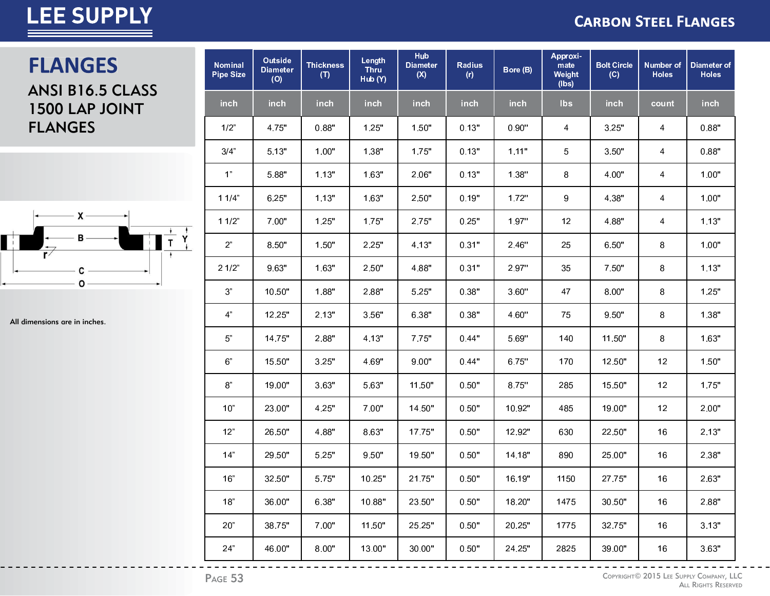#### **CARBON STEEL FLANGES**

### **FLANGES**

ANSI B16.5 CLASS 1500 LAP JOINT **FLANGES** 



All dimensions are in inches.

| <b>Nominal</b><br><b>Pipe Size</b> | Outside<br><b>Diameter</b><br>(O) | <b>Thickness</b><br>(T) | Length<br><b>Thru</b><br>Hub (Y) | Hub<br><b>Diameter</b><br>(X) | Radius<br>(r) | Bore (B) | Approxi-<br>mate<br>Weight<br>(lbs) | <b>Bolt Circle</b><br>(C) | Number of<br><b>Holes</b> | Diameter of<br><b>Holes</b> |
|------------------------------------|-----------------------------------|-------------------------|----------------------------------|-------------------------------|---------------|----------|-------------------------------------|---------------------------|---------------------------|-----------------------------|
| <b>inch</b>                        | inch                              | <b>inch</b>             | inch                             | <b>inch</b>                   | inch          | inch     | <b>lbs</b>                          | inch                      | count                     | <b>inch</b>                 |
| 1/2"                               | 4.75"                             | 0.88"                   | 1.25"                            | 1.50"                         | 0.13"         | 0.90"    | 4                                   | 3.25"                     | 4                         | 0.88"                       |
| 3/4"                               | 5.13"                             | 1.00"                   | 1.38"                            | 1.75"                         | 0.13"         | 1.11"    | 5                                   | 3.50"                     | 4                         | 0.88"                       |
| 1"                                 | 5.88"                             | 1.13"                   | 1.63"                            | 2.06"                         | 0.13"         | 1.38"    | 8                                   | 4.00"                     | 4                         | 1.00"                       |
| 11/4"                              | 6.25"                             | 1.13"                   | 1.63"                            | 2.50"                         | 0.19"         | 1.72"    | 9                                   | 4.38"                     | 4                         | 1.00"                       |
| 11/2"                              | 7.00"                             | 1.25"                   | 1.75"                            | 2.75"                         | 0.25"         | 1.97"    | 12                                  | 4.88"                     | 4                         | 1.13"                       |
| 2 <sup>n</sup>                     | 8.50"                             | 1.50"                   | 2.25"                            | 4.13"                         | 0.31"         | 2.46"    | 25                                  | 6.50"                     | 8                         | 1.00"                       |
| 21/2"                              | 9.63"                             | 1.63"                   | 2.50"                            | 4.88"                         | 0.31"         | 2.97"    | 35                                  | 7.50"                     | 8                         | 1.13"                       |
| 3"                                 | 10.50"                            | 1.88"                   | 2.88"                            | 5.25"                         | 0.38"         | 3.60"    | 47                                  | 8.00"                     | 8                         | 1.25"                       |
| 4"                                 | 12.25"                            | 2.13"                   | 3.56"                            | 6.38"                         | 0.38"         | 4.60"    | 75                                  | 9.50"                     | 8                         | 1.38"                       |
| 5"                                 | 14.75"                            | 2.88"                   | 4.13"                            | 7.75"                         | 0.44"         | 5.69"    | 140                                 | 11.50"                    | 8                         | 1.63"                       |
| 6 <sup>n</sup>                     | 15.50"                            | 3.25"                   | 4.69"                            | 9.00"                         | 0.44"         | 6.75"    | 170                                 | 12.50"                    | 12                        | 1.50"                       |
| 8"                                 | 19.00"                            | 3.63"                   | 5.63"                            | 11.50"                        | 0.50"         | 8.75"    | 285                                 | 15.50"                    | 12                        | 1.75"                       |
| 10"                                | 23.00"                            | 4.25"                   | 7.00"                            | 14.50"                        | 0.50"         | 10.92"   | 485                                 | 19.00"                    | 12                        | 2.00"                       |
| 12"                                | 26.50"                            | 4.88"                   | 8.63"                            | 17.75"                        | 0.50"         | 12.92"   | 630                                 | 22.50"                    | 16                        | 2.13"                       |
| 14"                                | 29.50"                            | 5.25"                   | 9.50"                            | 19.50"                        | 0.50"         | 14.18"   | 890                                 | 25.00"                    | 16                        | 2.38"                       |
| 16"                                | 32.50"                            | 5.75"                   | 10.25"                           | 21.75"                        | 0.50"         | 16.19"   | 1150                                | 27.75"                    | 16                        | 2.63"                       |
| 18"                                | 36.00"                            | 6.38"                   | 10.88"                           | 23.50"                        | 0.50"         | 18.20"   | 1475                                | 30.50"                    | 16                        | 2.88"                       |
| 20"                                | 38.75"                            | 7.00"                   | 11.50"                           | 25.25"                        | 0.50"         | 20.25"   | 1775                                | 32.75"                    | 16                        | 3.13"                       |
| 24"                                | 46.00"                            | 8.00"                   | 13.00"                           | 30.00"                        | 0.50"         | 24.25"   | 2825                                | 39.00"                    | 16                        | 3.63"                       |